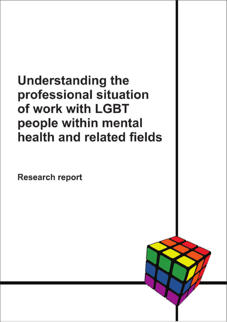**Understanding the** professional situation of work with LGBT people within mental health and related fields

**Research report**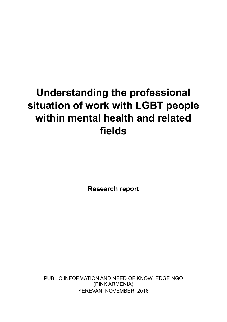# **Understanding the professional situation of work with LGBT people within mental health and related**  fields

**Research report** 

PUBLIC INFORMATION AND NEED OF KNOWLEDGE NGO (PINK ARMENIA) YEREVAN, NOVEMBER, 2016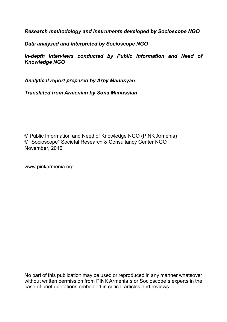*Research methodology and instruments developed by Socioscope NGO* 

*Data analyzed and interpreted by Socioscope NGO* 

*In-depth interviews conducted by Public Information and Need of Knowledge NGO* 

*Analytical report prepared by Arpy Manusyan*

*Translated from Armenian by Sona Manussian*

© Public Information and Need of Knowledge NGO (PINK Armenia) © "Socioscope" Societal Research & Consultancy Center NGO November, 2016

www.pinkarmenia.org

No part of this publication may be used or reproduced in any manner whatsover without written permission from PINK Armenia's or Socioscope's experts in the case of brief quotations embodied in critical articles and reviews.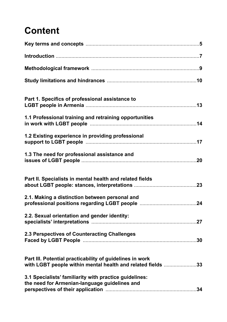## **Content**

| Part 1. Specifics of professional assistance to                                                                         |  |
|-------------------------------------------------------------------------------------------------------------------------|--|
| 1.1 Professional training and retraining opportunities                                                                  |  |
| 1.2 Existing experience in providing professional                                                                       |  |
| 1.3 The need for professional assistance and                                                                            |  |
| Part II. Specialists in mental health and related fields                                                                |  |
| 2.1. Making a distinction between personal and                                                                          |  |
| 2.2. Sexual orientation and gender identity:                                                                            |  |
| 2.3 Perspectives of Counteracting Challenges                                                                            |  |
| Part III. Potential practicability of guidelines in work<br>with LGBT people within mental health and related fields 33 |  |
| 3.1 Specialists' familiarity with practice guidelines:<br>the need for Armenian-language guidelines and                 |  |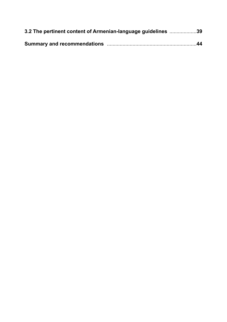| 3.2 The pertinent content of Armenian-language guidelines 39 |
|--------------------------------------------------------------|
|                                                              |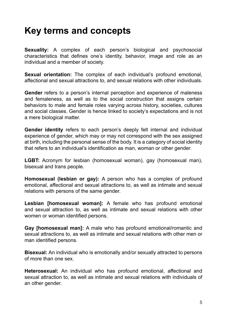## **Key terms and concepts**

**Sexuality:** A complex of each person's biological and psychosocial characteristics that defines one's identity, behavior, image and role as an individual and a member of society.

**Sexual orientation:** The complex of each individual's profound emotional, affectional and sexual attractions to, and sexual relations with other individuals.

**Gender** refers to a person's internal perception and experience of maleness and femaleness, as well as to the social construction that assigns certain behaviors to male and female roles varying across history, societies, cultures and social classes. Gender is hence linked to society's expectations and is not a mere biological matter.

**Gender identity** refers to each person's deeply felt internal and individual experience of gender, which may or may not correspond with the sex assigned at birth, including the personal sense of the body. It is a category of social identity that refers to an individual's identification as man, woman or other gender.

**LGBT:** Acronym for lesbian (homosexual woman), gay (homosexual man), bisexual and trans people.

**Homosexual (lesbian or gay):** A person who has a complex of profound emotional, affectional and sexual attractions to, as well as intimate and sexual relations with persons of the same gender.

**Lesbian [homosexual woman]:** A female who has profound emotional and sexual attraction to, as well as intimate and sexual relations with other women or woman identified persons.

**Gay [homosexual man]:** A male who has profound emotional/romantic and sexual attractions to, as well as intimate and sexual relations with other men or man identified persons.

**Bisexual:** An individual who is emotionally and/or sexually attracted to persons of more than one sex.

Heterosexual: An individual who has profound emotional, affectional and sexual attraction to, as well as intimate and sexual relations with individuals of an other gender.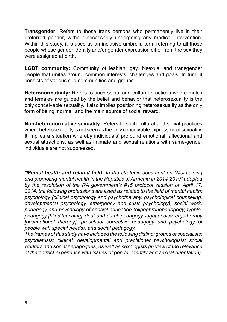**Transgender:** Refers to those trans persons who permanently live in their preferred gender, without necessarily undergoing any medical intervention. Within this study, it is used as an inclusive umbrella term referring to all those people whose gender identity and/or gender expression differ from the sex they were assigned at birth.

**LGBT community:** Community of lesbian, gay, bisexual and transgender people that unites around common interests, challenges and goals. In turn, it consists of various sub-communities and groups.

**Heteronormativity:** Refers to such social and cultural practices where males and females are guided by the belief and behavior that heterosexuality is the only conceivable sexuality. It also implies positioning heterosexuality as the only form of being 'normal' and the main source of social reward.

**Non-heteronormative sexuality:** Refers to such cultural and social practices where heterosexuality is not seen as the only conceivable expression of sexuality. It implies a situation whereby individuals' profound emotional, affectional and sexual attractions, as well as intimate and sexual relations with same-gender individuals are not suppressed.

\*Mental health and related field: In the strategic document on "Maintaining *and promoting mental health in the Republic of Armenia in 2014-2019" adopted by the resolution of the RA government's #15 protocol session on April 17,*  2014, the following professions are listed as related to the field of mental health: *psychology (clinical psychology and psychotherapy, psychological counseling, developmental psychology, emergency and crisis psychology), social work, pedagogy and psychology of special education (oligophrenopedagogy, typhlo*pedagogy [blind teaching], deaf-and-dumb pedagogy, logopaedics, ergotherapy *[occupational therapy], preschool corrective pedagogy and psychology of people with special needs), and social pedagogy.* 

*The frames of this study have included the following distinct groups of specialists: psychiatrists; clinical, developmental and practitioner psychologists; social workers and social pedagogues; as well as sexologists (in view of the relevance of their direct experience with issues of gender identity and sexual orientation).*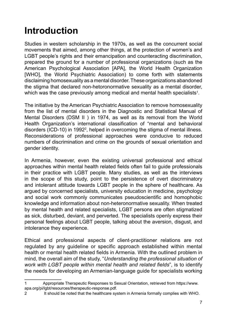## **Introduction**

Studies in western scholarship in the 1970s, as well as the concurrent social movements that aimed, among other things, at the protection of women's and LGBT people's rights and their emancipation and counteracting discrimination, prepared the ground for a number of professional organizations (such as the American Psychological Association [APA], the World Health Organization [WHO], the World Psychiatric Association) to come forth with statements disclaiming homosexuality as a mental disorder. These organizations abandoned the stigma that declared non-hetoronormative sexuality as a mental disorder, which was the case previously among medical and mental health specialists $^{\scriptscriptstyle 1}$ .

The initiative by the American Psychiatric Association to remove homosexuality from the list of mental disorders in the Diagnostic and Statistical Manual of Mental Disorders (DSM II ) in 1974, as well as its removal from the World Health Organization's international classification of "mental and behavioral disorders (ICD-10) in 1992<sup>2</sup>, helped in overcoming the stigma of mental illness. Reconsiderations of professional approaches were conducive to reduced numbers of discrimination and crime on the grounds of sexual orientation and gender identity.

In Armenia, however, even the existing universal professional and ethical approaches within mental health related fields often fail to quide professionals in their practice with LGBT people. Many studies, as well as the interviews in the scope of this study, point to the persistence of overt discriminatory and intolerant attitude towards LGBT people in the sphere of healthcare. As argued by concerned specialists, university education in medicine, psychology and social work commonly communicates pseudoscientific and homophobic knowledge and information about non-heteronormative sexuality. When treated by mental health and related specialists, LGBT persons are often stigmatized as sick, disturbed, deviant, and perverted. The specialists openly express their personal feelings about LGBT people, talking about the aversion, disgust, and intolerance they experience.

Ethical and professional aspects of client-practitioner relations are not regulated by any guideline or specific approach established within mental health or mental health related fields in Armenia. With the outlined problem in mind, the overall aim of the study, "*Understanding the professional situation of Work with LGBT people within mental health and related fields*", is to identify the needs for developing an Armenian-language guide for specialists working

<sup>1</sup> Appropriate Therapeutic Responses to Sexual Orientation, retrieved from https://www. apa.org/pi/lgbt/resources/therapeutic-response.pdf.

<sup>2</sup> It should be noted that the healthcare system in Armenia formally complies with WHO.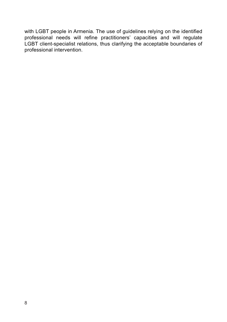with LGBT people in Armenia. The use of guidelines relying on the identified professional needs will refine practitioners' capacities and will regulate LGBT client-specialist relations, thus clarifying the acceptable boundaries of professional intervention.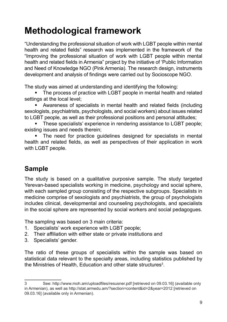## **Methodological framework**

"Understanding the professional situation of work with LGBT people within mental health and related fields" research was implemented in the framework of the "Improving the professional situation of work with LGBT people within mental health and related fields in Armenia" project by the initiative of 'Public Information and Need of Knowledge NGO (Pink Armenia). The research design, instruments development and analysis of findings were carried out by Socioscope NGO.

The study was aimed at understanding and identifying the following:

The process of practice with LGBT people in mental health and related settings at the local level;

Awareness of specialists in mental health and related fields (including sexologists, psychiatrists, psychologists, and social workers) about issues related to LGBT people, as well as their professional positions and personal attitudes;

**These specialists' experience in rendering assistance to LGBT people;** existing issues and needs therein;

The need for practice guidelines designed for specialists in mental health and related fields, as well as perspectives of their application in work with LGBT people.

### **Sample**

The study is based on a qualitative purposive sample. The study targeted Yerevan-based specialists working in medicine, psychology and social sphere, with each sampled group consisting of the respective subgroups. Specialists in medicine comprise of sexologists and psychiatrists, the group of psychologists includes clinical, developmental and counseling psychologists, and specialists in the social sphere are represented by social workers and social pedagogues.

The sampling was based on 3 main criteria:

- 1. Specialists' work experience with LGBT people;
- 2. Their affiliation with either state or private institutions and
- 3. Specialists' gender.

The ratio of these groups of specialists within the sample was based on statistical data relevant to the specialty areas, including statistics published by the Ministries of Health, Education and other state structures $^3$ .

<sup>3</sup> See: http://www.moh.am/uploadfiles/resusner.pdf [retrieved on 09.03.16] (available only in Armenian), as well as http://stat.armedu.am/?section=content&id=2&year=2012 [retrieved on 09.03.16] (available only in Armenian).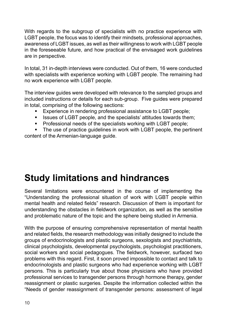With regards to the subgroup of specialists with no practice experience with LGBT people, the focus was to identify their mindsets, professional approaches, awareness of LGBT issues, as well as their willingness to work with LGBT people in the foreseeable future, and how practical of the envisaged work guidelines are in perspective.

In total, 31 in-depth interviews were conducted. Out of them, 16 were conducted with specialists with experience working with LGBT people. The remaining had no work experience with LGBT people.

The interview guides were developed with relevance to the sampled groups and included instructions or details for each sub-group. Five guides were prepared in total, comprising of the following sections:

- **Experience in rendering professional assistance to LGBT people;**
- $\blacksquare$  Issues of LGBT people, and the specialists' attitudes towards them;
- **Professional needs of the specialists working with LGBT people;**

• The use of practice quidelines in work with LGBT people, the pertinent content of the Armenian-language guide.

## **Study limitations and hindrances**

Several limitations were encountered in the course of implementing the "Understanding the professional situation of work with LGBT people within mental health and related fields" research. Discussion of them is important for understanding the obstacles in fieldwork organization, as well as the sensitive and problematic nature of the topic and the sphere being studied in Armenia.

With the purpose of ensuring comprehensive representation of mental health and related fields, the research methodology was initially designed to include the groups of endocrinologists and plastic surgeons, sexologists and psychiatrists, clinical psychologists, developmental psychologists, psychologist practitioners, social workers and social pedagogues. The fieldwork, however, surfaced two problems with this regard. First, it soon proved impossible to contact and talk to endocrinologists and plastic surgeons who had experience working with LGBT persons. This is particularly true about those physicians who have provided professional services to transgender persons through hormone therapy, gender reassignment or plastic surgeries. Despite the information collected within the "Needs of gender reassignment of transgender persons: assessment of legal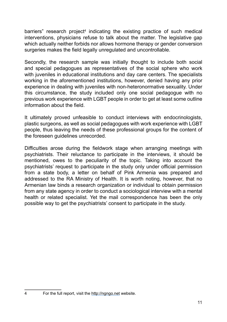barriers" research project<sup>4</sup> indicating the existing practice of such medical interventions, physicians refuse to talk about the matter. The legislative gap which actually neither forbids nor allows hormone therapy or gender conversion surgeries makes the field legally unregulated and uncontrollable.

Secondly, the research sample was initially thought to include both social and special pedagogues as representatives of the social sphere who work with juveniles in educational institutions and day care centers. The specialists working in the aforementioned institutions, however, denied having any prior experience in dealing with juveniles with non-heteronormative sexuality. Under this circumstance, the study included only one social pedagogue with no previous work experience with LGBT people in order to get at least some outline information about the field.

It ultimately proved unfeasible to conduct interviews with endocrinologists, plastic surgeons, as well as social pedagogues with work experience with LGBT people, thus leaving the needs of these professional groups for the content of the foreseen guidelines unrecorded.

Difficulties arose during the fieldwork stage when arranging meetings with psychiatrists. Their reluctance to participate in the interviews, it should be mentioned, owes to the peculiarity of the topic. Taking into account the psychiatrists' request to participate in the study only under official permission from a state body, a letter on behalf of Pink Armenia was prepared and addressed to the RA Ministry of Health. It is worth noting, however, that no Armenian law binds a research organization or individual to obtain permission from any state agency in order to conduct a sociological interview with a mental health or related specialist. Yet the mail correspondence has been the only possible way to get the psychiatrists' consent to participate in the study.

<sup>4</sup> For the full report, visit the http://ngngo.net website.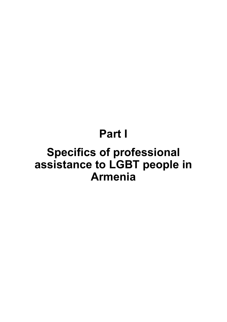# Part I

# **Specifics of professional** assistance to LGBT people in **Armenia**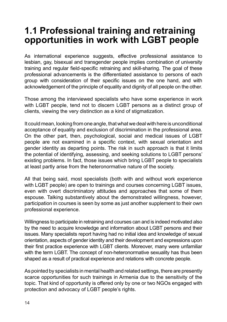### **1.1 Professional training and retraining opportunities in work with LGBT people**

As international experience suggests, effective professional assistance to lesbian, gay, bisexual and transgender people implies combination of university training and regular field-specific retraining and skill-sharing. The goal of these professional advancements is the differentiated assistance to persons of each group with consideration of their specific issues on the one hand, and with acknowledgement of the principle of equality and dignity of all people on the other.

Those among the interviewed specialists who have some experience in work with LGBT people, tend not to discern LGBT persons as a distinct group of clients, viewing the very distinction as a kind of stigmatization.

It could mean, looking from one angle, that what we deal with here is unconditional acceptance of equality and exclusion of discrimination in the professional area. On the other part, then, psychological, social and medical issues of LGBT people are not examined in a specific context, with sexual orientation and gender identity as departing points. The risk in such approach is that it limits the potential of identifying, assessing, and seeking solutions to LGBT persons' existing problems. In fact, those issues which bring LGBT people to specialists at least partly arise from the heteronormative nature of the society.

All that being said, most specialists (both with and without work experience with LGBT people) are open to trainings and courses concerning LGBT issues, even with overt discriminatory attitudes and approaches that some of them espouse. Talking substantively about the demonstrated willingness, however, participation in courses is seen by some as just another supplement to their own professional experience.

Willingness to participate in retraining and courses can and is indeed motivated also by the need to acquire knowledge and information about LGBT persons and their issues. Many specialists report having had no initial idea and knowledge of sexual orientation, aspects of gender identity and their development and expressions upon their first practice experience with LGBT clients. Moreover, many were unfamiliar with the term LGBT. The concept of non-heteronormative sexuality has thus been shaped as a result of practical experience and relations with concrete people.

As pointed by specialists in mental health and related settings, there are presently scarce opportunities for such trainings in Armenia due to the sensitivity of the topic. That kind of opportunity is offered only by one or two NGOs engaged with protection and advocacy of LGBT people's rights.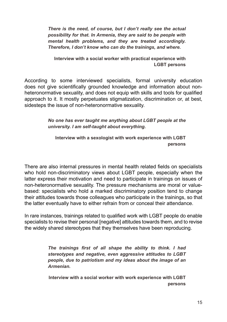*There is the need, of course, but I don't really see the actual possibility for that. In Armenia, they are said to be people with mental health problems, and they are treated accordingly. Therefore, I don't know who can do the trainings, and where.* 

**Interview with a social worker with practical experience with LGBT persons**

According to some interviewed specialists, formal university education does not give scientifically grounded knowledge and information about nonheteronormative sexuality, and does not equip with skills and tools for qualified approach to it. It mostly perpetuates stigmatization, discrimination or, at best, sidesteps the issue of non-heteronormative sexuality.

> *No one has ever taught me anything about LGBT people at the university. I am self-taught about everything.*

**Interview with a sexologist with work experience with LGBT persons** 

There are also internal pressures in mental health related fields on specialists who hold non-discriminatory views about LGBT people, especially when the latter express their motivation and need to participate in trainings on issues of non-heteronormative sexuality. The pressure mechanisms are moral or valuebased: specialists who hold a marked discriminatory position tend to change their attitudes towards those colleagues who participate in the trainings, so that the latter eventually have to either refrain from or conceal their attendance.

In rare instances, trainings related to qualified work with LGBT people do enable specialists to revise their personal [negative] attitudes towards them, and to revise the widely shared stereotypes that they themselves have been reproducing.

> The trainings first of all shape the ability to think, I had *stereotypes and negative, even aggressive attitudes to LGBT people, due to patriotism and my ideas about the image of an Armenian.*

> **Interview with a social worker with work experience with LGBT persons**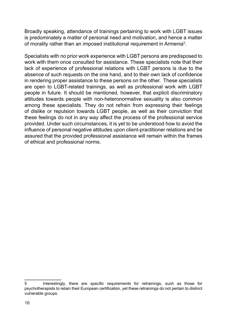Broadly speaking, attendance of trainings pertaining to work with LGBT issues is predominately a matter of personal need and motivation, and hence a matter of morality rather than an imposed institutional requirement in Armenia $^5\!$ .

Specialists with no prior work experience with LGBT persons are predisposed to work with them once consulted for assistance. These specialists note that their lack of experience of professional relations with LGBT persons is due to the absence of such requests on the one hand, and to their own lack of confidence in rendering proper assistance to these persons on the other. These specialists are open to LGBT-related trainings, as well as professional work with LGBT people in future. It should be mentioned, however, that explicit discriminatory attitudes towards people with non-heteronormative sexuality is also common among these specialists. They do not refrain from expressing their feelings of dislike or repulsion towards LGBT people, as well as their conviction that these feelings do not in any way affect the process of the professional service provided. Under such circumstances, it is yet to be understood how to avoid the influence of personal negative attitudes upon client-practitioner relations and be assured that the provided professional assistance will remain within the frames of ethical and professional norms.

<sup>5</sup> Interestingly, there are specific requirements for retrainings, such as those for psychotherapists to retain their European certification, yet these retrainings do not pertain to distinct vulnerable groups.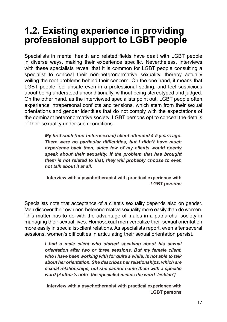### **1.2. Existing experience in providing professional support to LGBT people**

Specialists in mental health and related fields have dealt with LGBT people in diverse ways, making their experience specific. Nevertheless, interviews with these specialists reveal that it is common for LGBT people consulting a specialist to conceal their non-heteronormative sexuality, thereby actually veiling the root problems behind their concern. On the one hand, it means that LGBT people feel unsafe even in a professional setting, and feel suspicious about being understood unconditionally, without being stereotyped and judged. On the other hand, as the interviewed specialists point out, LGBT people often experience intrapersonal conflicts and tensions, which stem from their sexual orientations and gender identities that do not comply with the expectations of the dominant heteronormative society. LGBT persons opt to conceal the details of their sexuality under such conditions.

> *My first such (non-heterosexual) client attended 4-5 years ago.* There were no particular difficulties, but I didn't have much experience back then, since few of my clients would openly speak about their sexuality. If the problem that has brought *them is not related to that, they will probably choose to even not talk about it at all.*

**Interview with a psychotherapist with practical experience with**  *LGBT persons* 

Specialists note that acceptance of a client's sexuality depends also on gender. Men discover their own non-heteronormative sexuality more easily than do women. This matter has to do with the advantage of males in a patriarchal society in managing their sexual lives. Homosexual men verbalize their sexual orientation more easily in specialist-client relations. As specialists report, even after several sessions, women's difficulties in articulating their sexual orientation persist.

> *I* had a male client who started speaking about his sexual *orientation after two or three sessions. But my female client, who I have been working with for quite a while, is not able to talk about her orientation. She describes her relationships, which are*  sexual relationships, but she cannot name them with a specific *word [Author's note*–*the specialist means the word 'lesbian'].*

**Interview with a psychotherapist with practical experience with LGBT persons**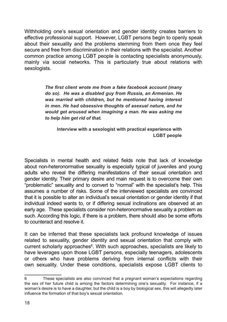Withholding one's sexual orientation and gender identity creates barriers to effective professional support. However, LGBT persons begin to openly speak about their sexuality and the problems stemming from them once they feel secure and free from discrimination in their relations with the specialist. Another common practice among LGBT people is contacting specialists anonymously, mainly via social networks. This is particularly true about relations with sexologists.

> The first client wrote me from a fake facebook account (many do so). He was a disabled guy from Russia, an Armenian, He *was married with children, but he mentioned having interest in men. He had obsessive thoughts of asexual nature, and he* would get aroused when imagining a man. He was asking me *to help him get rid of that.*

**Interview with a sexologist with practical experience with LGBT people**

Specialists in mental health and related fields note that lack of knowledge about non-heteronormative sexuality is especially typical of juveniles and young adults who reveal the differing manifestations of their sexual orientation and gender identity. Their primary desire and main request is to overcome their own "problematic" sexuality and to convert to "normal" with the specialist's help. This assumes a number of risks. Some of the interviewed specialists are convinced that it is possible to alter an individual's sexual orientation or gender identity if that individual indeed wants to, or if differing sexual inclinations are observed at an early age. These specialists consider non-heteronormative sexuality a problem as such. According this logic, if there is a problem, there should also be some efforts to counteract and resolve it.

It can be inferred that these specialists lack profound knowledge of issues related to sexuality, gender identity and sexual orientation that comply with current scholarly approaches<sup>6</sup>. With such approaches, specialists are likely to have leverages upon those LGBT persons, especially teenagers, adolescents or others who have problems deriving from internal conflicts with their own sexuality. Under these conditions, specialists expose LGBT clients to

<sup>6</sup> These specialists are also convinced that a pregnant woman's expectations regarding the sex of her future child is among the factors determining one's sexuality. For instance, if a woman's desire is to have a daughter, but the child is a boy by biological sex, this will allegedly later influence the formation of that boy's sexual orientation.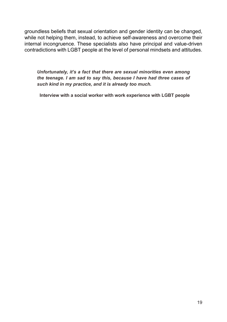groundless beliefs that sexual orientation and gender identity can be changed, while not helping them, instead, to achieve self-awareness and overcome their internal incongruence. These specialists also have principal and value-driven contradictions with LGBT people at the level of personal mindsets and attitudes.

Unfortunately, it's a fact that there are sexual minorities even among *the teenage. I am sad to say this, because I have had three cases of such kind in my practice, and it is already too much.* 

**Interview with a social worker with work experience with LGBT people**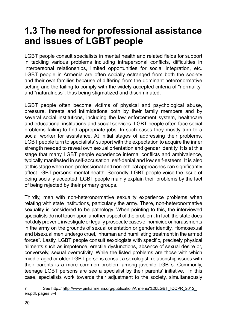## **1.3 The need for professional assistance and issues of LGBT people**

LGBT people consult specialists in mental health and related fields for support in tackling various problems including intrapersonal conflicts, difficulties in interpersonal relationships, limited opportunities for social integration, etc. LGBT people in Armenia are often socially estranged from both the society and their own families because of differing from the dominant heteronormative setting and the failing to comply with the widely accepted criteria of "normality" and "naturalness", thus being stigmatized and discriminated.

LGBT people often become victims of physical and psychological abuse, pressure, threats and intimidations both by their family members and by several social institutions, including the law enforcement system, healthcare and educational institutions and social services. LGBT people often face social problems failing to find appropriate jobs. In such cases they mostly turn to a social worker for assistance. At initial stages of addressing their problems, LGBT people turn to specialists' support with the expectation to acquire the inner strength needed to reveal own sexual orientation and gender identity. It is at this stage that many LGBT people experience internal conflicts and ambivalence, typically manifested in self-accusation, self-denial and low self-esteem. It is also at this stage when non-professional and non-ethical approaches can significantly affect LGBT persons' mental health. Secondly, LGBT people voice the issue of being socially accepted. LGBT people mainly explain their problems by the fact of being rejected by their primary groups.

Thirdly, men with non-heteronormative sexuality experience problems when relating with state institutions, particularly the army. There, non-heteronormative sexuality is considered to be pathology. When pointing to this, the interviewed specialists do not touch upon another aspect of the problem. In fact, the state does not duly prevent, investigate or legally prosecute cases of homicide or harassments in the army on the grounds of sexual orientation or gender identity. Homosexual and bisexual men undergo cruel, inhuman and humiliating treatment in the armed forces<sup>7</sup>. Lastly, LGBT people consult sexologists with specific, precisely physical ailments such as impotence, erectile dysfunctions, absence of sexual desire or, conversely, sexual overactivity. While the listed problems are those with which middle-aged or older LGBT persons consult a sexologist, relationship issues with their parents is a more common problem among juvenile LGBTs. Commonly, teenage LGBT persons are see a specialist by their parents' initiative. In this case, specialists work towards their adjustment to the society, simultaneously

<sup>7</sup> See http:// http://www.pinkarmenia.org/publication/Armenia%20LGBT\_ICCPR\_2012\_ en.pdf, pages 3-4.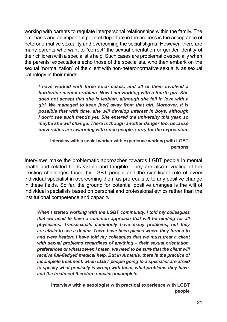working with parents to regulate interpersonal relationships within the family. The emphasis and an important point of departure in the process is the acceptance of heteronormative sexuality and overcoming the social stigma. However, there are many parents who want to "correct" the sexual orientation or gender identity of their children with a specialist's help. Such cases are problematic especially when the parents' expectations echo those of the specialists, who then embark on the sexual "normalization" of the client with non-heteronormative sexuality as sexual pathology in their minds.

*I have worked with three such cases, and all of them involved a borderline mental problem. Now I am working with a fourth girl. She does not accept that she is lesbian, although she fell in love with a girl. We managed to keep [her] away from that girl. Moreover, it is possible that with time, she will develop interest in boys, although I don't see such trends yet. She entered the university this year, so maybe she will change. There is though another danger too, because XQLYHUVLWLHVDUHVZDUPLQJZLWKVXFKSHRSOHVRUU\IRUWKHH[SUHVVLRQ*

**Interview with a social worker with experience working with LGBT persons**

Interviews make the problematic approaches towards LGBT people in mental health and related fields visible and tangible. They are also revealing of the existing challenges faced by LGBT people and the significant role of every individual specialist in overcoming them as prerequisite to any positive change in these fields. So far, the ground for potential positive changes is the will of individual specialists based on personal and professional ethics rather than the institutional competence and capacity.

*When I started working with the LGBT community, I told my colleagues that we need to have a common approach that will be binding for all*  physicians. Transsexuals commonly have many problems, but they *are afraid to see a doctor. There have been places where they turned to and were beaten. I have told my colleagues that we must treat a client <i>With sexual problems regardless of anything – their sexual orientation. preferences or whatsoever. I mean, we need to be sure that the client will*  receive full-fledged medical help. But in Armenia, there is the practice of *incomplete treatment, when LGBT people going to a specialist are afraid to specify what precisely is wrong with them, what problems they have, and the treatment therefore remains incomplete.* 

**Interview with a sexologist with practical experience with LGBT people**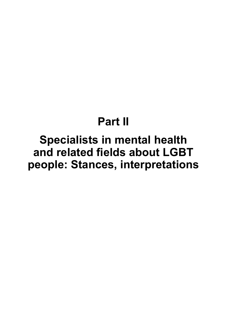# **Part II**

# **Specialists in mental health** and related fields about LGBT people: Stances, interpretations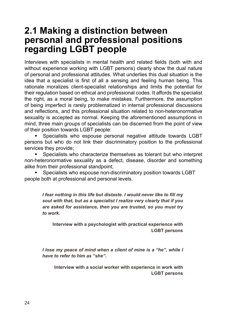### **2.1 Making a distinction between personal and professional positions regarding LGBT people**

Interviews with specialists in mental health and related fields (both with and without experience working with LGBT persons) clearly show the dual nature of personal and professional attitudes. What underlies this dual situation is the idea that a specialist is first of all a sensing and feeling human being. This rationale moralizes client-specialist relationships and limits the potential for their regulation based on ethical and professional codes. It affords the specialist the right, as a moral being, to make mistakes. Furthermore, the assumption of being imperfect is rarely problematized in internal professional discussions and reflections, and this professional situation related to non-heteronormative sexuality is accepted as normal. Keeping the aforementioned assumptions in mind, three main groups of specialists can be discerned from the point of view of their position towards LGBT people:

Specialists who espouse personal negative attitude towards LGBT persons but who do not link their discriminatory position to the professional services they provide;

Specialists who characterize themselves as tolerant but who interpret non-heteronormative sexuality as a defect, disease, disorder and something alike from their professional standpoint;

Specialists who espouse non-discriminatory position towards LGBT people both at professional and personal levels.

> *I* fear nothing in this life but distaste. I would never like to fill my *soul with that, but as a specialist I realize very clearly that if you are asked for assistance, then you are trusted, so you must try to work.*

**Interview with a psychologist with practical experience with LGBT persons**

*I lose my peace of mind when a client of mine is a "he", while I have to refer to him as "she".*

**Interview with a social worker with experience in work with LGBT persons**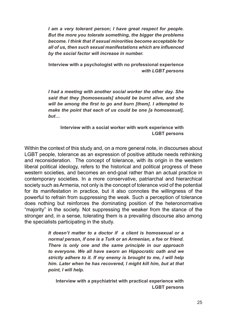*I am a very tolerant person; I have great respect for people. But the more you tolerate something, the bigger the problems*  become. I think that if sexual minorities become acceptable for all of us, then such sexual manifestations which are influenced *by the social factor will increase in number.*

**Interview with a psychologist with no professional experience**  *with LGBT persons*

*I had a meeting with another social worker the other day. She*  said that they *[homosexuals]* should be burnt alive, and she will be among the first to go and burn [them]. I attempted to *<i>Phake the point that each of us could be one Ia homosexuall. but…* 

**Interview with a social worker with work experience with LGBT persons**

Within the context of this study and, on a more general note, in discourses about LGBT people, tolerance as an expression of positive attitude needs rethinking and reconsideration. The concept of tolerance, with its origin in the western liberal political ideology, refers to the historical and political progress of these western societies, and becomes an end-goal rather than an actual practice in contemporary societies. In a more conservative, patriarchal and hierarchical society such as Armenia, not only is the concept of tolerance void of the potential for its manifestation in practice, but it also connotes the willingness of the powerful to refrain from suppressing the weak. Such a perception of tolerance does nothing but reinforces the dominating position of the heteronormative "majority" in the society. Not suppressing the weaker from the stance of the stronger and, in a sense, tolerating them is a prevailing discourse also among the specialists participating in the study.

> It doesn't matter to a doctor if a client is homosexual or a *normal person, if one is a Turk or an Armenian, a foe or friend. There is only one and the same principle in our approach*  to everyone. We all have sworn an Hippocratic oath and we *strictly adhere to it. If my enemy is brought to me, I will help him. Later when he has recovered, I might kill him, but at that point, I will help.*

**Interview with a psychiatrist with practical experience with LGBT persons**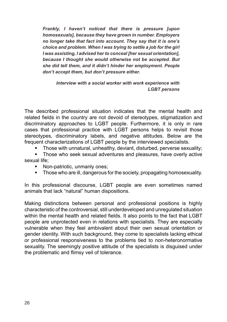*Frankly, I haven't noticed that there is pressure [upon*  homosexuals1, because they have grown in number. Employers *no longer take that fact into account. They say that it is one's choice and problem. When I was trying to settle a job for the girl I* was assisting. *I* advised her to conceal *Iher sexual orientation]*. *because I thought she would otherwise not be accepted. But she did tell them, and it didn't hinder her employment. People don't accept them, but don't pressure either.*

Interview with a social worker with work experience with *LGBT persons*

The described professional situation indicates that the mental health and related fields in the country are not devoid of stereotypes, stigmatization and discriminatory approaches to LGBT people. Furthermore, it is only in rare cases that professional practice with LGBT persons helps to revisit those stereotypes, discriminatory labels, and negative attitudes. Below are the frequent characterizations of LGBT people by the interviewed specialists.

Those with unnatural, unhealthy, deviant, disturbed, perverse sexuality;

Those who seek sexual adventures and pleasures, have overly active sexual life;

- Non-patriotic, unmanly ones;
- Those who are ill, dangerous for the society, propagating homosexuality.

In this professional discourse, LGBT people are even sometimes named animals that lack "natural" human dispositions.

Making distinctions between personal and professional positions is highly characteristic of the controversial, still underdeveloped and unregulated situation within the mental health and related fields. It also points to the fact that LGBT people are unprotected even in relations with specialists. They are especially vulnerable when they feel ambivalent about their own sexual orientation or gender identity. With such background, they come to specialists lacking ethical or professional responsiveness to the problems tied to non-heteronormative sexuality. The seemingly positive attitude of the specialists is disguised under the problematic and flimsy veil of tolerance.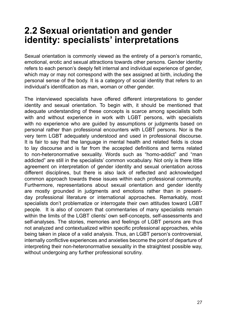### **2.2 Sexual orientation and gender identity: specialists' interpretations**

Sexual orientation is commonly viewed as the entirety of a person's romantic, emotional, erotic and sexual attractions towards other persons. Gender identity refers to each person's deeply felt internal and individual experience of gender, which may or may not correspond with the sex assigned at birth, including the personal sense of the body. It is a category of social identity that refers to an individual's identification as man, woman or other gender.

The interviewed specialists have offered different interpretations to gender identity and sexual orientation. To begin with, it should be mentioned that adequate understanding of these concepts is scarce among specialists both with and without experience in work with LGBT persons, with specialists with no experience who are quided by assumptions or judgments based on personal rather than professional encounters with LGBT persons. Nor is the very term LGBT adequately understood and used in professional discourse. It is fair to say that the language in mental health and related fields is close to lay discourse and is far from the accepted definitions and terms related to non-heteronormative sexuality. Words such as "homo-addict" and "man addicted" are still in the specialists' common vocabulary. Not only is there little agreement on interpretation of gender identity and sexual orientation across different disciplines, but there is also lack of reflected and acknowledged common approach towards these issues within each professional community. Furthermore, representations about sexual orientation and gender identity are mostly grounded in judgments and emotions rather than in presentday professional literature or international approaches. Remarkably, most specialists don't problematize or interrogate their own attitudes toward LGBT people. It is also of concern that commentaries of many specialists remain within the limits of the LGBT clients' own self-concepts, self-assessments and self-analyses. The stories, memories and feelings of LGBT persons are thus not analyzed and contextualized within specific professional approaches, while being taken in place of a valid analysis. Thus, an LGBT person's controversial, internally conflictive experiences and anxieties become the point of departure of interpreting their non-heteronormative sexuality in the straightest possible way, without undergoing any further professional scrutiny.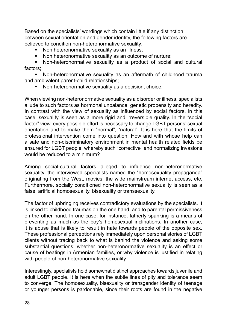Based on the specialists' wordings which contain little if any distinction between sexual orientation and gender identity, the following factors are believed to condition non-heteronormative sexuality:

- Non heteronormative sexuality as an illness:
- Non heteronormative sexuality as an outcome of nurture;

Non-heteronormative sexuality as a product of social and cultural factors;

Non-heteronormative sexuality as an aftermath of childhood trauma and ambivalent parent-child relationships;

Non-heteronormative sexuality as a decision, choice.

When viewing non-heteronormative sexuality as a disorder or illness, specialists allude to such factors as hormonal unbalance, genetic propensity and heredity. In contrast with the view of sexuality as influenced by social factors, in this case, sexuality is seen as a more rigid and irreversible quality. In the "social factor" view, every possible effort is necessary to change LGBT persons' sexual orientation and to make them "normal", "natural". It is here that the limits of professional intervention come into question. How and with whose help can a safe and non-discriminatory environment in mental health related fields be ensured for LGBT people, whereby such "corrective" and normalizing invasions would be reduced to a minimum?

Among social-cultural factors alleged to influence non-heteronormative sexuality, the interviewed specialists named the "homosexuality propaganda" originating from the West, movies, the wide mainstream internet access, etc. Furthermore, socially conditioned non-heteronormative sexuality is seen as a false, artificial homosexuality, bisexuality or transsexuality.

The factor of upbringing receives contradictory evaluations by the specialists. It is linked to childhood traumas on the one hand, and to parental permissiveness on the other hand. In one case, for instance, fatherly spanking is a means of preventing as much as the boy's homosexual inclinations. In another case, it is abuse that is likely to result in hate towards people of the opposite sex. These professional perceptions rely immediately upon personal stories of LGBT clients without tracing back to what is behind the violence and asking some substantial questions: whether non-heteronormative sexuality is an effect or cause of beatings in Armenian families, or why violence is justified in relating with people of non-heteronormative sexuality.

Interestingly, specialists hold somewhat distinct approaches towards juvenile and adult LGBT people. It is here when the subtle lines of pity and tolerance seem to converge. The homosexuality, bisexuality or transgender identity of teenage or younger persons is pardonable, since their roots are found in the negative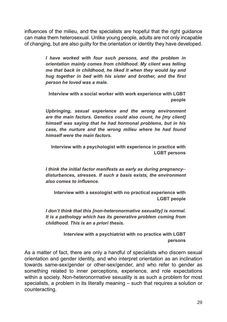influences of the milieu, and the specialists are hopeful that the right quidance can make them heterosexual. Unlike young people, adults are not only incapable of changing, but are also guilty for the orientation or identity they have developed.

> *I have worked with four such persons, and the problem in orientation mainly comes from childhood. My client was telling me that back in childhood, he liked it when they would lay and*  hug together in bed with his sister and brother, and the first *person he loved was a male.*

**Interview with a social worker with work experience with LGBT people** 

Upbringing, sexual experience and the wrong environment *are the main factors. Genetics could also count, he [my client] himself was saying that he had hormonal problems, but in his case, the nurture and the wrong milieu where he had found himself were the main factors.*

**Interview with a psychologist with experience in practice with LGBT persons**

*I think the initial factor manifests as early as during pregnancy*– disturbances, stresses. If such a basis exists, the environment *also comes to influence.* 

**Interview with a sexologist with no practical experience with LGBT people**

*I* don't think that this [non-heteronormative sexuality] is normal. *It is a pathology which has its generative problem coming from childhood. This is an a priori thesis.* 

> **Interview with a psychiatrist with no practice with LGBT persons**

As a matter of fact, there are only a handful of specialists who discern sexual orientation and gender identity, and who interpret orientation as an inclination towards same-sex/gender or other-sex/gender, and who refer to gender as something related to inner perceptions, experience, and role expectations within a society. Non-heteronormative sexuality is as such a problem for most specialists, a problem in its literally meaning – such that requires a solution or counteracting.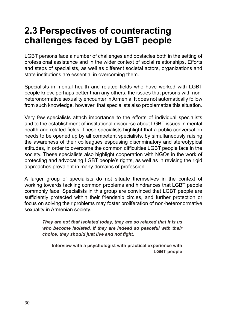### **2.3 Perspectives of counteracting challenges faced by LGBT people**

LGBT persons face a number of challenges and obstacles both in the setting of professional assistance and in the wider context of social relationships. Efforts and steps of specialists, as well as different societal actors, organizations and state institutions are essential in overcoming them.

Specialists in mental health and related fields who have worked with LGBT people know, perhaps better than any others, the issues that persons with nonheteronormative sexuality encounter in Armenia. It does not automatically follow from such knowledge, however, that specialists also problematize this situation.

Very few specialists attach importance to the efforts of individual specialists and to the establishment of institutional discourse about LGBT issues in mental health and related fields. These specialists highlight that a public conversation needs to be opened up by all competent specialists, by simultaneously raising the awareness of their colleagues espousing discriminatory and stereotypical attitudes, in order to overcome the common difficulties LGBT people face in the society. These specialists also highlight cooperation with NGOs in the work of protecting and advocating LGBT people's rights, as well as in revising the rigid approaches prevalent in many domains of profession.

A larger group of specialists do not situate themselves in the context of working towards tackling common problems and hindrances that LGBT people commonly face. Specialists in this group are convinced that LGBT people are sufficiently protected within their friendship circles, and further protection or focus on solving their problems may foster proliferation of non-heteronormative sexuality in Armenian society.

*They are not that isolated today, they are so relaxed that it is us who become isolated. If they are indeed so peaceful with their*  choice, they should just live and not fight.

**Interview with a psychologist with practical experience with LGBT people**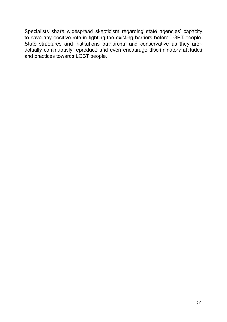Specialists share widespread skepticism regarding state agencies' capacity to have any positive role in fighting the existing barriers before LGBT people. State structures and institutions-patriarchal and conservative as they areactually continuously reproduce and even encourage discriminatory attitudes and practices towards LGBT people.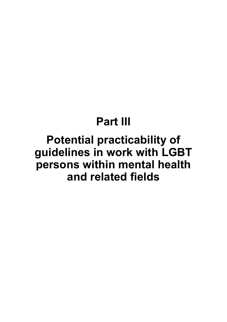# **Part III**

# **Potential practicability of** guidelines in work with LGBT persons within mental health and related fields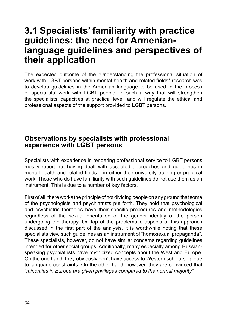### **3.1 Specialists' familiarity with practice guidelines: the need for Armenianlanguage guidelines and perspectives of their application**

The expected outcome of the "Understanding the professional situation of work with LGBT persons within mental health and related fields" research was to develop guidelines in the Armenian language to be used in the process of specialists' work with LGBT people, in such a way that will strengthen the specialists' capacities at practical level, and will regulate the ethical and professional aspects of the support provided to LGBT persons.

#### **Observations by specialists with professional experience with LGBT persons**

Specialists with experience in rendering professional service to LGBT persons mostly report not having dealt with accepted approaches and guidelines in mental health and related fields  $-$  in either their university training or practical work. Those who do have familiarity with such guidelines do not use them as an instrument. This is due to a number of key factors.

First of all, there works the principle of not dividing people on any ground that some of the psychologists and psychiatrists put forth. They hold that psychological and psychiatric therapies have their specific procedures and methodologies regardless of the sexual orientation or the gender identity of the person undergoing the therapy. On top of the problematic aspects of this approach discussed in the first part of the analysis, it is worthwhile noting that these specialists view such guidelines as an instrument of "homosexual propaganda". These specialists, however, do not have similar concerns regarding guidelines intended for other social groups. Additionally, many especially among Russianspeaking psychiatrists have mythicized concepts about the West and Europe. On the one hand, they obviously don't have access to Western scholarship due to language constraints. On the other hand, however, they are convinced that "*minorities in Europe are given privileges compared to the normal majority"*.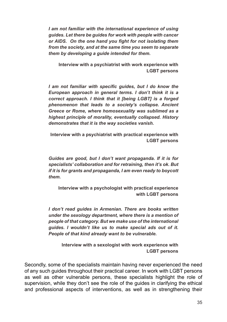*I* am not familiar with the international experience of using *guides. Let there be guides for work with people with cancer*  or AIDS. On the one hand you fight for not isolating them *from the society, and at the same time you seem to separate them by developing a guide intended for them.* 

**Interview with a psychiatrist with work experience with LGBT persons**

*I* am not familiar with specific quides, but *I* do know the European approach in general terms. I don't think it is a *correct approach. I think that it [being LGBT] is a forged phenomenon that leads to a society's collapse. Ancient*  Greece or Rome, where homosexuality was sublimed as a highest principle of morality, eventually collapsed. History *demonstrates that it is the way societies vanish.* 

**Interview with a psychiatrist with practical experience with LGBT persons** 

*Guides are good, but I don't want propaganda. If it is for specialists' collaboration and for retraining, then it's ok. But if it is for grants and propaganda, I am even ready to boycott them.* 

**Interview with a psychologist with practical experience with LGBT persons**

*I don't read guides in Armenian. There are books written <u>under the sexology department, where there is a mention of</u> people of that category. But we make use of the international guides. I wouldn't like us to make special ads out of it. People of that kind already want to be vulnerable.* 

**Interview with a sexologist with work experience with LGBT persons**

Secondly, some of the specialists maintain having never experienced the need of any such guides throughout their practical career. In work with LGBT persons as well as other vulnerable persons, these specialists highlight the role of supervision, while they don't see the role of the guides in clarifying the ethical and professional aspects of interventions, as well as in strengthening their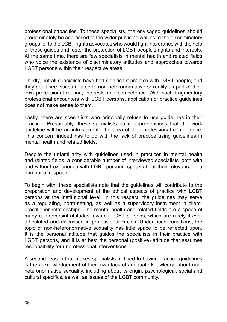professional capacities. To these specialists, the envisaged guidelines should predominately be addressed to the wider public as well as to the discriminatory aroups, or to the LGBT rights advocates who would fight intolerance with the help of these guides and foster the protection of LGBT people's rights and interests. At the same time, there are few specialists in mental health and related fields who voice the existence of discriminatory attitudes and approaches towards LGBT persons within their respective areas.

Thirdly, not all specialists have had significant practice with LGBT people, and they don't see issues related to non-heteronormative sexuality as part of their own professional routine, interests and competence. With such fragmentary professional encounters with LGBT persons, application of practice guidelines does not make sense to them.

Lastly, there are specialists who principally refuse to use guidelines in their practice. Presumably, these specialists have apprehensions that the work guideline will be an intrusion into the area of their professional competence. This concern indeed has to do with the lack of practice using guidelines in mental health and related fields.

Despite the unfamiliarity with guidelines used in practices in mental health and related fields, a considerable number of interviewed specialists-both with and without experience with LGBT persons–speak about their relevance in a number of respects.

To begin with, these specialists note that the guidelines will contribute to the preparation and development of the ethical aspects of practice with LGBT persons at the institutional level. In this respect, the guidelines may serve as a regulating, norm-setting, as well as a supervisory instrument in clientpractitioner relationships. The mental health and related fields are a space of many controversial attitudes towards LGBT persons, which are rarely if ever articulated and discussed in professional circles. Under such conditions, the topic of non-heteronormative sexuality has little space to be reflected upon. It is the personal attitude that guides the specialists in their practice with LGBT persons, and it is at best the personal (positive) attitude that assumes responsibility for unprofessional interventions.

A second reason that makes specialists inclined to having practice guidelines is the acknowledgement of their own lack of adequate knowledge about nonheteronormative sexuality, including about its origin, psychological, social and cultural specifics, as well as issues of the LGBT community.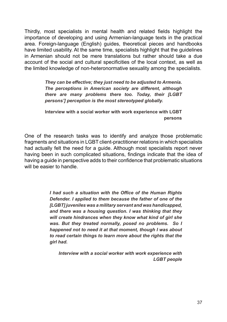Thirdly, most specialists in mental health and related fields highlight the importance of developing and using Armenian-language texts in the practical area. Foreign-language (English) guides, theoretical pieces and handbooks have limited usability. At the same time, specialists highlight that the guidelines in Armenian should not be mere translations but rather should take a due account of the social and cultural specificities of the local context, as well as the limited knowledge of non-heteronormative sexuality among the specialists.

> *They can be effective; they just need to be adjusted to Armenia.* The perceptions in American society are different, although *there are many problems there too. Today, their [LGBT persons'] perception is the most stereotyped globally.*

> **Interview with a social worker with work experience with LGBT persons**

One of the research tasks was to identify and analyze those problematic fragments and situations in LGBT client-practitioner relations in which specialists had actually felt the need for a guide. Although most specialists report never having been in such complicated situations, findings indicate that the idea of having a guide in perspective adds to their confidence that problematic situations will be easier to handle.

> *I* had such a situation with the Office of the Human Rights *Defender. I applied to them because the father of one of the [LGBT] juveniles was a military servant and was handicapped, and there was a housing question. I was thinking that they will create hindrances when they know what kind of girl she was. But they treated normally, posed no problems. So I happened not to need it at that moment, though I was about to read certain things to learn more about the rights that the girl had.*

Interview with a social worker with work experience with *LGBT people*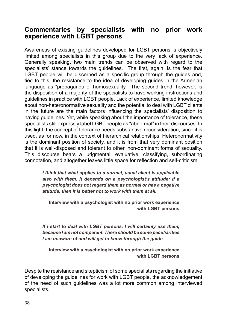#### **Commentaries by specialists with no prior work experience with LGBT persons**

Awareness of existing quidelines developed for LGBT persons is objectively limited among specialists in this group due to the very lack of experience. Generally speaking, two main trends can be observed with regard to the specialists' stance towards the quidelines. The first, again, is the fear that LGBT people will be discerned as a specific group through the guides and, tied to this, the resistance to the idea of developing guides in the Armenian language as "propaganda of homosexuality". The second trend, however, is the disposition of a majority of the specialists to have working instructions and guidelines in practice with LGBT people. Lack of experience, limited knowledge about non-heteronormative sexuality and the potential to deal with LGBT clients in the future are the main factors influencing the specialists' disposition to having guidelines. Yet, while speaking about the importance of tolerance, these specialists still expressly label LGBT people as "abnormal" in their discourses. In this light, the concept of tolerance needs substantive reconsideration, since it is used, as for now, in the context of hierarchical relationships. Heteronormativity is the dominant position of society, and it is from that very dominant position that it is well-disposed and tolerant to other, non-dominant forms of sexuality. This discourse bears a judgmental, evaluative, classifying, subordinating connotation, and altogether leaves little space for reflection and self-criticism.

> *I think that what applies to a normal, usual client is applicable also with them. It depends on a psychologist's attitude; if a psychologist does not regard them as normal or has a negative attitude, then it is better not to work with them at all.*

**Interview with a psychologist with no prior work experience with LGBT persons** 

*If I start to deal with LGBT persons, I will certainly use them, because I am not competent. There should be some peculiarities I am unaware of and will get to know through the guide.* 

**Interview with a psychologist with no prior work experience with LGBT persons**

Despite the resistance and skepticism of some specialists regarding the initiative of developing the guidelines for work with LGBT people, the acknowledgement of the need of such guidelines was a lot more common among interviewed specialists.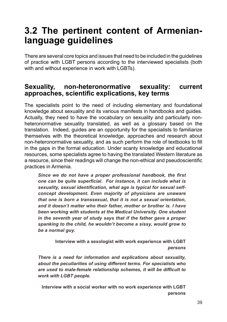### **3.2 The pertinent content of Armenianlanguage guidelines**

There are several core topics and issues that need to be included in the guidelines of practice with LGBT persons according to the interviewed specialists (both with and without experience in work with LGBTs).

#### **Sexuality, non-heteronormative sexuality: current**  approaches, scientific explications, key terms

The specialists point to the need of including elementary and foundational knowledge about sexuality and its various manifests in handbooks and guides. Actually, they need to have the vocabulary on sexuality and particularly nonheteronormative sexuality translated, as well as a glossary based on the translation. Indeed, guides are an opportunity for the specialists to familiarize themselves with the theoretical knowledge, approaches and research about non-heteronormative sexuality, and as such perform the role of textbooks to fill in the gaps in the formal education. Under scanty knowledge and educational resources, some specialists agree to having the translated Western literature as a resource, since their readings will change the non-ethical and pseudoscientific practices in Armenia.

Since we do not have a proper professional handbook, the first one can be quite superficial. For instance, it can include what is sexuality, sexual identification, what age is typical for sexual self*concept development. Even majority of physicians are unaware that one is born a transsexual, that it is not a sexual orientation. and it doesn't matter who their father, mother or brother is. I have been working with students at the Medical University. One student in the seventh year of study says that if the father gave a proper spanking to the child, he wouldn't become a sissy, would grow to be a normal guy.*

> **Interview with a sexologist with work experience with LGBT**  *persons*

*There is a need for information and explications about sexuality,* about the peculiarities of using different terms. For specialists who are used to male-female relationship schemes, it will be difficult to *work with LGBT people.* 

**Interview with a social worker with no work experience with LGBT persons**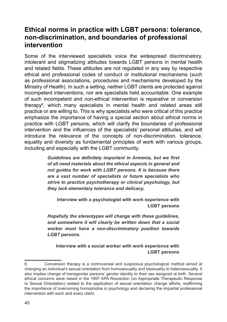#### **Ethical norms in practice with LGBT persons: tolerance, non-discrimination, and boundaries of professional intervention**

Some of the interviewed specialists voice the widespread discriminatory, intolerant and stigmatizing attitudes towards LGBT persons in mental health and related fields. These attitudes are not requlated in any way by respective ethical and professional codes of conduct or institutional mechanisms (such as professional associations, procedures and mechanisms developed by the Ministry of Health). In such a setting, neither LGBT clients are protected against incompetent interventions, nor are specialists held accountable. One example of such incompetent and non-ethical intervention is reparative or conversion therapy8 , which many specialists in mental health and related areas still practice or are willing to. This is why specialists who were critical of this practice emphasize the importance of having a special section about ethical norms in practice with LGBT persons, which will clarify the boundaries of professional intervention and the influences of the specialists' personal attitudes, and will introduce the relevance of the concepts of non-discrimination, tolerance, equality and diversity as fundamental principles of work with various groups, including and especially with the LGBT community.

> Guidelines are definitely important in Armenia, but we first *of all need materials about the ethical aspects in general and not guides for work with LGBT persons. It is because there are a vast number of specialists or future specialists who strive to practice psychotherapy or clinical psychology, but they lack elementary tolerance and delicacy.*

**Interview with a psychologist with work experience with LGBT persons** 

Hopefully the stereotypes will change with these quidelines, *and somewhere it will clearly be written down that a social worker must have a non-discriminatory position towards LGBT persons.* 

**Interview with a social worker with work experience with LGBT persons**

<sup>8</sup> Conversion therapy is a controversial and suspicious psychological method aimed at changing an individual's sexual orientation from homosexuality and bisexuality to heterosexuality. It also implies change of transgender persons' gender identity to their sex assigned at birth. Several ethical concerns were raised in the 1997 APA Resolution (on Appropriate Therapeutic Response to Sexual Orientation) related to the application of sexual orientation change efforts, reaffirming the importance of overcoming homophobia in psychology and declaring the impartial professional intervention with each and every client.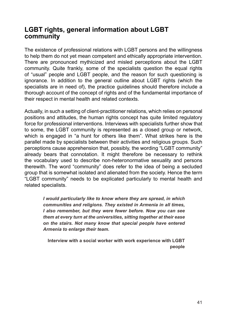#### **LGBT rights, general information about LGBT community**

The existence of professional relations with LGBT persons and the willingness to help them do not yet mean competent and ethically appropriate intervention. There are pronounced mythicized and misled perceptions about the LGBT community. Quite frankly, some of the specialists question the equal rights of "usual" people and LGBT people, and the reason for such questioning is ignorance. In addition to the general outline about LGBT rights (which the specialists are in need of), the practice guidelines should therefore include a thorough account of the concept of rights and of the fundamental importance of their respect in mental health and related contexts.

Actually, in such a setting of client-practitioner relations, which relies on personal positions and attitudes, the human rights concept has quite limited regulatory force for professional interventions. Interviews with specialists further show that to some, the LGBT community is represented as a closed group or network, which is engaged in "a hunt for others like them". What strikes here is the parallel made by specialists between their activities and religious groups. Such perceptions cause apprehension that, possibly, the wording "LGBT community" already bears that connotation. It might therefore be necessary to rethink the vocabulary used to describe non-heteronormative sexuality and persons therewith. The word "community" does refer to the idea of being a secluded group that is somewhat isolated and alienated from the society. Hence the term "LGBT community" needs to be explicated particularly to mental health and related specialists.

> *I would particularly like to know where they are spread, in which*  communities and religions. They existed in Armenia in all times, *I also remember, but they were fewer before. Now you can see them at every turn at the universities, sitting together at their ease on the stairs. Not many know that special people have entered Armenia to enlarge their team.*

**Interview with a social worker with work experience with LGBT people**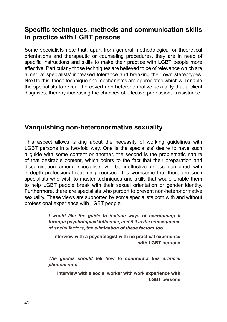#### **Specific techniques, methods and communication skills in practice with LGBT persons**

Some specialists note that, apart from general methodological or theoretical orientations and therapeutic or counseling procedures, they are in need of specific instructions and skills to make their practice with LGBT people more effective. Particularly those techniques are believed to be of relevance which are aimed at specialists' increased tolerance and breaking their own stereotypes. Next to this, those technique and mechanisms are appreciated which will enable the specialists to reveal the covert non-heteronormative sexuality that a client disquises, thereby increasing the chances of effective professional assistance.

#### **Vanguishing non-heteronormative sexuality**

This aspect allows talking about the necessity of working guidelines with LGBT persons in a two-fold way. One is the specialists' desire to have such a guide with some content or another, the second is the problematic nature of that desirable content, which points to the fact that their preparation and dissemination among specialists will be ineffective unless combined with in-depth professional retraining courses. It is worrisome that there are such specialists who wish to master techniques and skills that would enable them to help LGBT people break with their sexual orientation or gender identity. Furthermore, there are specialists who purport to prevent non-heteronormative sexuality. These views are supported by some specialists both with and without professional experience with LGBT people.

> *I would like the guide to include ways of overcoming it*  through psychological influence, and if it is the consequence *of social factors, the elimination of these factors too.*

**Interview with a psychologist with no practical experience with LGBT persons** 

The quides should tell how to counteract this artificial *phenomenon.* 

**Interview with a social worker with work experience with LGBT persons**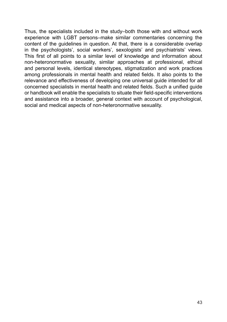Thus, the specialists included in the study–both those with and without work experience with LGBT persons–make similar commentaries concerning the content of the quidelines in question. At that, there is a considerable overlap in the psychologists', social workers', sexologists' and psychiatrists' views. This first of all points to a similar level of knowledge and information about non-heteronormative sexuality, similar approaches at professional, ethical and personal levels, identical stereotypes, stigmatization and work practices among professionals in mental health and related fields. It also points to the relevance and effectiveness of developing one universal quide intended for all concerned specialists in mental health and related fields. Such a unified quide or handbook will enable the specialists to situate their field-specific interventions and assistance into a broader, general context with account of psychological, social and medical aspects of non-heteronormative sexuality.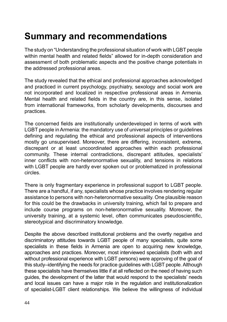## **Summary and recommendations**

The study on "Understanding the professional situation of work with LGBT people within mental health and related fields" allowed for in-depth consideration and assessment of both problematic aspects and the positive change potentials in the addressed professional areas.

The study revealed that the ethical and professional approaches acknowledged and practiced in current psychology, psychiatry, sexology and social work are not incorporated and localized in respective professional areas in Armenia. Mental health and related fields in the country are, in this sense, isolated from international frameworks, from scholarly developments, discourses and practices.

The concerned fields are institutionally underdeveloped in terms of work with LGBT people in Armenia: the mandatory use of universal principles or guidelines defining and regulating the ethical and professional aspects of interventions mostly go unsupervised. Moreover, there are differing, inconsistent, extreme. discrepant or at least uncoordinated approaches within each professional community. These internal contradictions, discrepant attitudes, specialists' inner conflicts with non-heteronormative sexuality, and tensions in relations with LGBT people are hardly ever spoken out or problematized in professional circles.

There is only fragmentary experience in professional support to LGBT people. There are a handful, if any, specialists whose practice involves rendering regular assistance to persons with non-heteronormative sexuality. One plausible reason for this could be the drawbacks in university training, which fail to prepare and include course programs on non-heteronormative sexuality. Moreover, the university training, at a systemic level, often communicates pseudoscientific, stereotypical and discriminatory knowledge.

Despite the above described institutional problems and the overtly negative and discriminatory attitudes towards LGBT people of many specialists, quite some specialists in these fields in Armenia are open to acquiring new knowledge, approaches and practices. Moreover, most interviewed specialists (both with and without professional experience with LGBT persons) were approving of the goal of this study–identifying the needs for practice guidelines with LGBT people. Although these specialists have themselves little if at all reflected on the need of having such guides, the development of the latter that would respond to the specialists' needs and local issues can have a major role in the regulation and institutionalization of specialist-LGBT client relationships. We believe the willingness of individual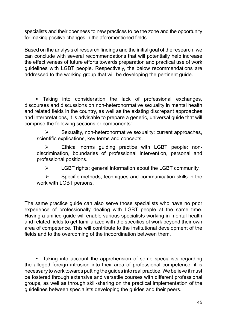specialists and their openness to new practices to be the zone and the opportunity for making positive changes in the aforementioned fields.

Based on the analysis of research findings and the initial goal of the research, we can conclude with several recommendations that will potentially help increase the effectiveness of future efforts towards preparation and practical use of work guidelines with LGBT people. Respectively, the below recommendations are addressed to the working group that will be developing the pertinent guide.

Taking into consideration the lack of professional exchanges, discourses and discussions on non-heteronormative sexuality in mental health and related fields in the country, as well as the existing discrepant approaches and interpretations, it is advisable to prepare a generic, universal guide that will comprise the following sections or components:

 $\triangleright$  Sexuality, non-heteronormative sexuality: current approaches, scientific explications, key terms and concepts.

¾ Ethical norms guiding practice with LGBT people: nondiscrimination, boundaries of professional intervention, personal and professional positions.

¾ LGBT rights; general information about the LGBT community.

 $\triangleright$  Specific methods, techniques and communication skills in the work with LGBT persons.

The same practice guide can also serve those specialists who have no prior experience of professionally dealing with LGBT people at the same time. Having a unified quide will enable various specialists working in mental health and related fields to get familiarized with the specifics of work beyond their own area of competence. This will contribute to the institutional development of the fields and to the overcoming of the incoordination between them.

Taking into account the apprehension of some specialists regarding the alleged foreign intrusion into their area of professional competence, it is necessary to work towards putting the guides into real practice. We believe it must be fostered through extensive and versatile courses with different professional groups, as well as through skill-sharing on the practical implementation of the guidelines between specialists developing the guides and their peers.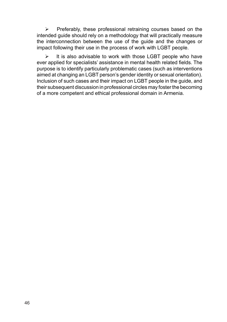$\triangleright$  Preferably, these professional retraining courses based on the intended guide should rely on a methodology that will practically measure the interconnection between the use of the guide and the changes or impact following their use in the process of work with LGBT people.

 $\triangleright$  It is also advisable to work with those LGBT people who have ever applied for specialists' assistance in mental health related fields. The purpose is to identify particularly problematic cases (such as interventions aimed at changing an LGBT person's gender identity or sexual orientation). Inclusion of such cases and their impact on LGBT people in the guide, and their subsequent discussion in professional circles may foster the becoming of a more competent and ethical professional domain in Armenia.